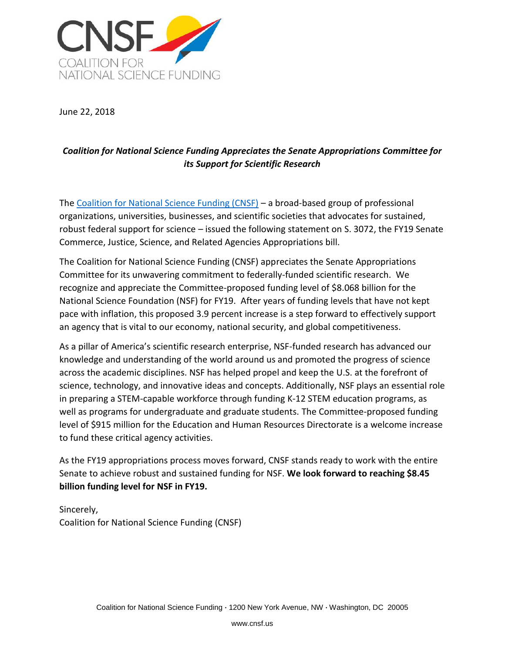

June 22, 2018

## *Coalition for National Science Funding Appreciates the Senate Appropriations Committee for its Support for Scientific Research*

The [Coalition for National Science Funding \(CNSF\)](https://cnsf.us/) – a broad-based group of professional organizations, universities, businesses, and scientific societies that advocates for sustained, robust federal support for science – issued the following statement on S. 3072, the FY19 Senate Commerce, Justice, Science, and Related Agencies Appropriations bill.

The Coalition for National Science Funding (CNSF) appreciates the Senate Appropriations Committee for its unwavering commitment to federally-funded scientific research. We recognize and appreciate the Committee-proposed funding level of \$8.068 billion for the National Science Foundation (NSF) for FY19. After years of funding levels that have not kept pace with inflation, this proposed 3.9 percent increase is a step forward to effectively support an agency that is vital to our economy, national security, and global competitiveness.

As a pillar of America's scientific research enterprise, NSF-funded research has advanced our knowledge and understanding of the world around us and promoted the progress of science across the academic disciplines. NSF has helped propel and keep the U.S. at the forefront of science, technology, and innovative ideas and concepts. Additionally, NSF plays an essential role in preparing a STEM-capable workforce through funding K-12 STEM education programs, as well as programs for undergraduate and graduate students. The Committee-proposed funding level of \$915 million for the Education and Human Resources Directorate is a welcome increase to fund these critical agency activities.

As the FY19 appropriations process moves forward, CNSF stands ready to work with the entire Senate to achieve robust and sustained funding for NSF. **We look forward to reaching \$8.45 billion funding level for NSF in FY19.**

Sincerely, Coalition for National Science Funding (CNSF)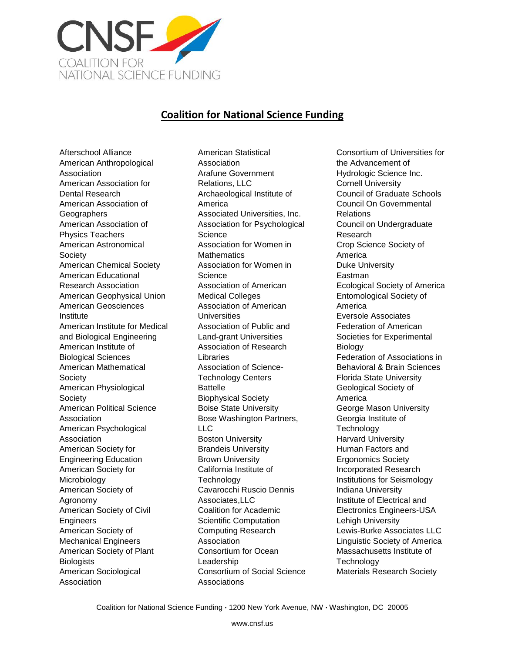

## **Coalition for National Science Funding**

Afterschool Alliance American Anthropological Association American Association for Dental Research American Association of **Geographers** American Association of Physics Teachers American Astronomical Society American Chemical Society American Educational Research Association American Geophysical Union American Geosciences Institute American Institute for Medical and Biological Engineering American Institute of Biological Sciences American Mathematical Society American Physiological Society American Political Science Association American Psychological Association American Society for Engineering Education American Society for Microbiology American Society of Agronomy American Society of Civil **Engineers** American Society of Mechanical Engineers American Society of Plant **Biologists** American Sociological Association

American Statistical Association Arafune Government Relations, LLC Archaeological Institute of America Associated Universities, Inc. Association for Psychological Science Association for Women in **Mathematics** Association for Women in Science Association of American Medical Colleges Association of American **Universities** Association of Public and Land-grant Universities Association of Research **Libraries** Association of Science-Technology Centers Battelle Biophysical Society Boise State University Bose Washington Partners, LLC Boston University Brandeis University Brown University California Institute of **Technology** Cavarocchi Ruscio Dennis Associates,LLC Coalition for Academic Scientific Computation Computing Research Association Consortium for Ocean Leadership Consortium of Social Science **Associations** 

Consortium of Universities for the Advancement of Hydrologic Science Inc. Cornell University Council of Graduate Schools Council On Governmental Relations Council on Undergraduate Research Crop Science Society of America Duke University Eastman Ecological Society of America Entomological Society of America Eversole Associates Federation of American Societies for Experimental Biology Federation of Associations in Behavioral & Brain Sciences Florida State University Geological Society of America George Mason University Georgia Institute of **Technology** Harvard University Human Factors and Ergonomics Society Incorporated Research Institutions for Seismology Indiana University Institute of Electrical and Electronics Engineers-USA Lehigh University Lewis-Burke Associates LLC Linguistic Society of America Massachusetts Institute of **Technology** Materials Research Society

Coalition for National Science Funding **·** 1200 New York Avenue, NW **·** Washington, DC 20005